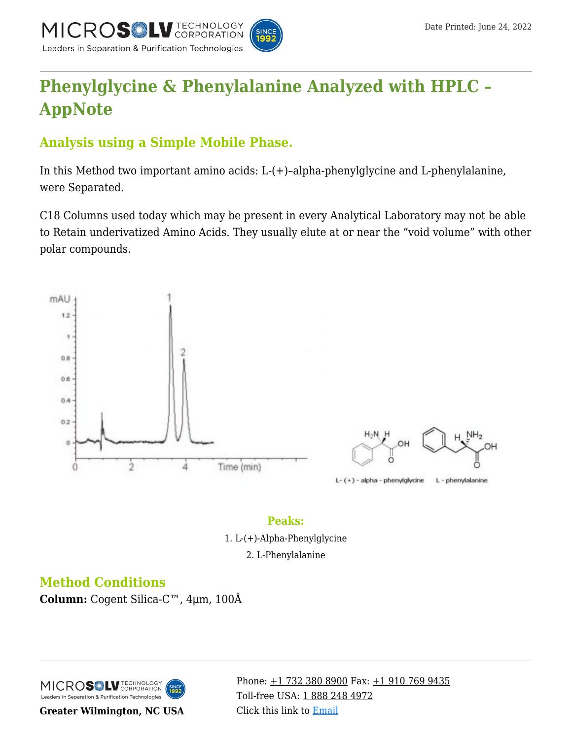

## **[Phenylglycine & Phenylalanine Analyzed with HPLC –](https://kb.mtc-usa.com/article/aa-00770/46/) [AppNote](https://kb.mtc-usa.com/article/aa-00770/46/)**

## **Analysis using a Simple Mobile Phase.**

In this Method two important amino acids: L-(+)–alpha-phenylglycine and L-phenylalanine, were Separated.

C18 Columns used today which may be present in every Analytical Laboratory may not be able to Retain underivatized Amino Acids. They usually elute at or near the "void volume" with other polar compounds.



## **Peaks:**

1. L-(+)-Alpha-Phenylglycine

2. L-Phenylalanine

## **Method Conditions**

**Column:** Cogent Silica-C™, 4μm, 100Å

MICROS LU TECHNOLOGY Leaders in Separation & Purification Technologies

**Greater Wilmington, NC USA**

Phone:  $\pm$ 1 732 380 8900 Fax:  $\pm$ 1 910 769 9435 Toll-free USA: [1 888 248 4972](#page--1-0) Click this link to [Email](https://www.mtc-usa.com/contact)